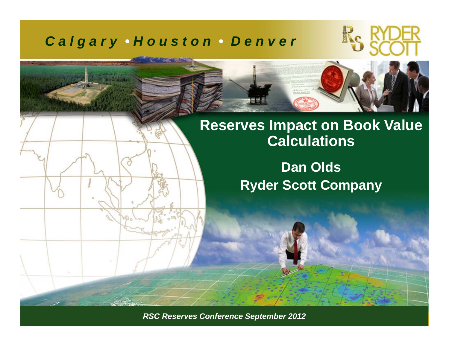#### *C a l g a r y • H o u s t o n • D e n v e r*





### **Reserves Impact on Book Value Calculations**

**Dan Olds Ryder Scott Company**

*RSC Reserves Conference September 2011 ©Ryder Scott Company, L.P. RSC Reserves Conference September 2012*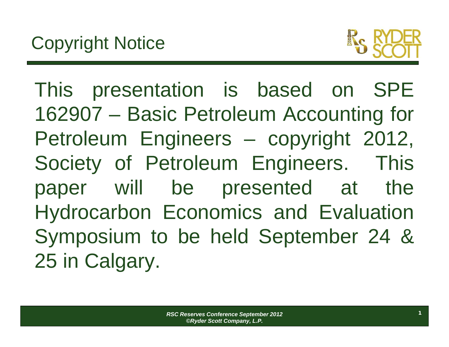

This presentation is based on SPE 162907 – Basic Petroleum Accounting for Petroleum Engineers – copyright 2012, Society of Petroleum Engineers. This paper will be presented at the Hydrocarbon Economics and Evaluation Symposium to be held September 24 & 25 in Calgary.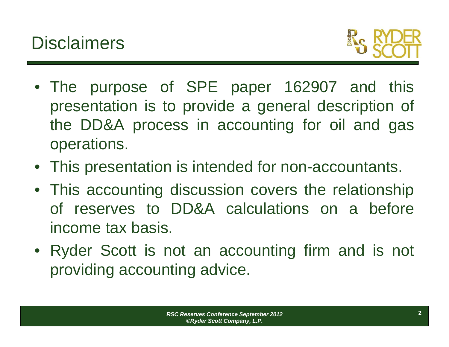

- The purpose of SPE paper 162907 and this presentation is to provide <sup>a</sup> general description of the DD&A process in accounting for oil and gas operations.
- This presentation is intended for non-accountants.
- This accounting discussion covers the relationship of reserves to DD&A calculations on a beforeincome tax basis.
- Ryder Scott is not an accounting firm and is not providing accounting advice.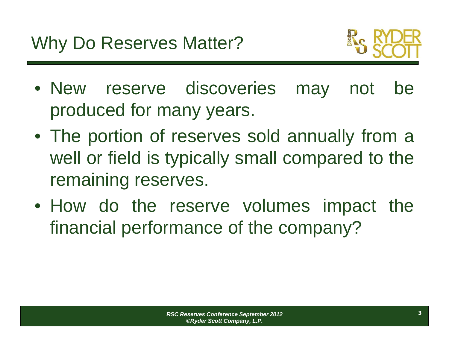

- New reserve discoveries may not be produced for many years.
- The portion of reserves sold annually from <sup>a</sup> well or field is typically small compared to the remaining reserves.
- How do the reserve volumes impact the financial performance of the company?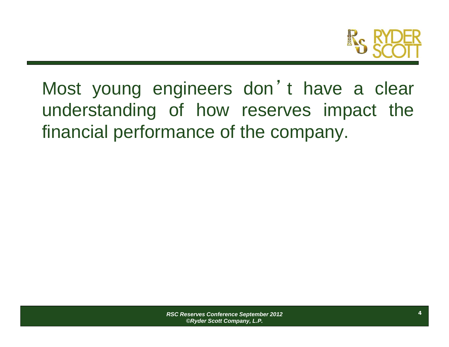

Most young engineers don'<sup>t</sup> have <sup>a</sup> clear understanding of how reserves impact the financial performance of the company.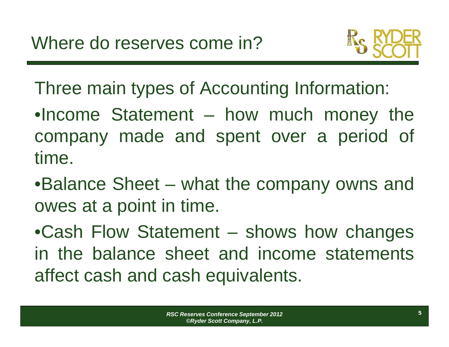

Three main types of Accounting Information:

•Income Statement – how much money the company made and spent over <sup>a</sup> period of time.

•Balance Sheet – what the company owns and owes at <sup>a</sup> point in time.

•Cash Flow Statement – shows how changes in the balance sheet and income statementsaffect cash and cash equivalents.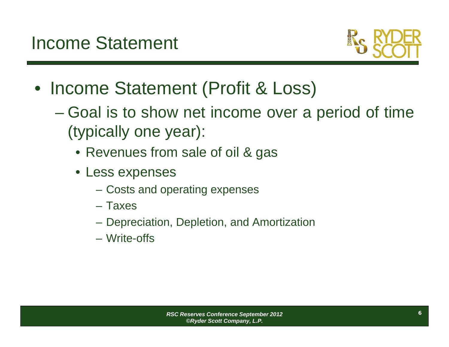

- Income Statement (Profit & Loss)
	- Goal is to show net income over <sup>a</sup> period of time (typically one year):
		- Revenues from sale of oil & gas
		- Less expenses
			- Costs and operating expenses
			- Taxes
			- Depreciation, Depletion, and Amortization
			- Write-offs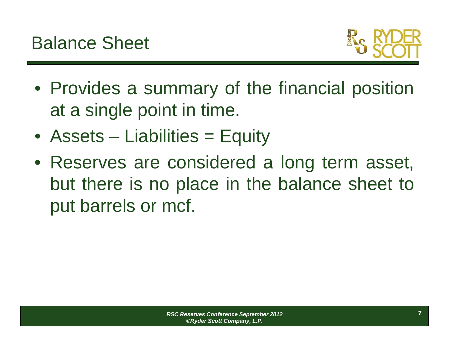

- Provides <sup>a</sup> summary of the financial position at <sup>a</sup> single point in time.
- Assets Liabilities = Equity
- Reserves are considered <sup>a</sup> long term asset, but there is no place in the balance sheet to put barrels or mcf.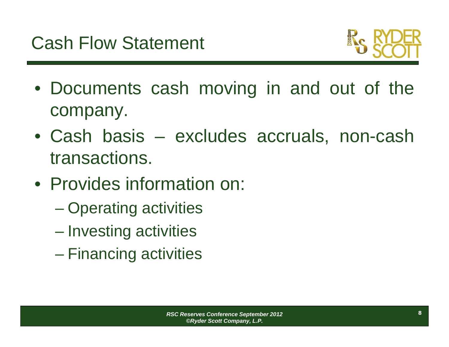

- Documents cash moving in and out of the company.
- Cash basis excludes accruals, non-cash transactions.
- Provides information on:
	- $\mathcal{L}_{\mathcal{A}}$ Operating activities
	- Investing activities
	- –Financing activities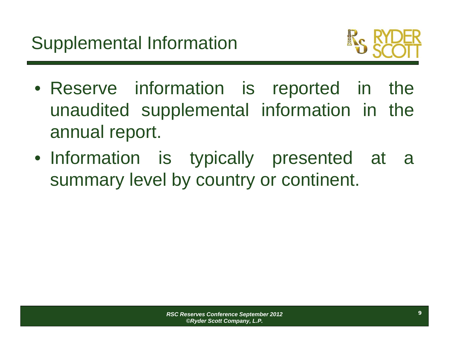

- Reserve information is reported in the unaudited supplemental information in the annual report.
- Information is typically presented at <sup>a</sup> summary level by country or continent.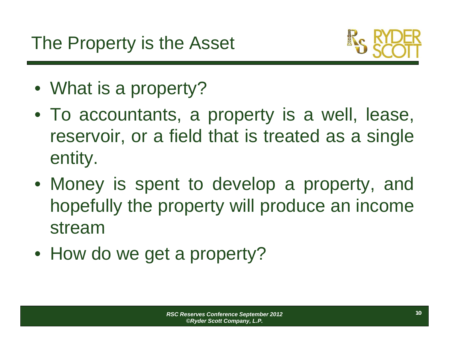

- What is <sup>a</sup> property?
- To accountants, <sup>a</sup> property is <sup>a</sup> well, lease, reservoir, or <sup>a</sup> field that is treated as <sup>a</sup> single entity.
- Money is spent to develop <sup>a</sup> property, and hopefully the property will produce an income stream
- How do we get <sup>a</sup> property?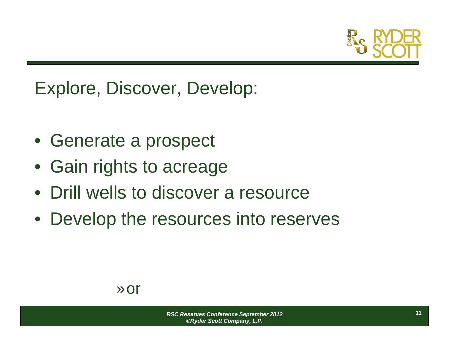

## Explore, Discover, Develop:

- Generate a prospect
- Gain rights to acreage
- Drill wells to discover a resource
- Develop the resources into reserves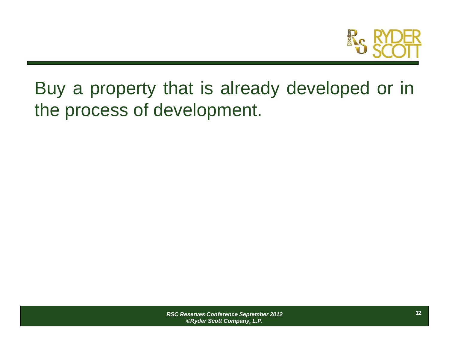

Buy <sup>a</sup> property that is already developed or in the process of development.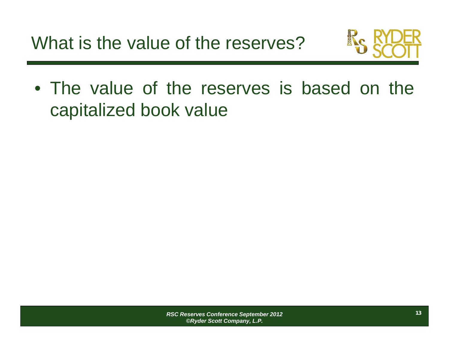

• The value of the reserves is based on thecapitalized book value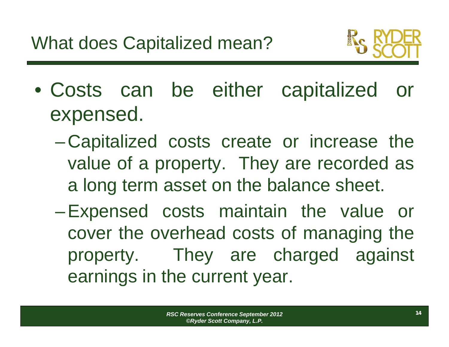

- Costs can be either capitalized or expensed.
	- $\mathcal{L}_{\mathcal{A}}$  Capitalized costs create or increase the value of <sup>a</sup> property. They are recorded as <sup>a</sup> long term asset on the balance sheet.
	- $\mathcal{L}_{\mathcal{A}}$  , and the set of  $\mathcal{L}_{\mathcal{A}}$  Expensed costs maintain the value or cover the overhead costs of managing the property. They are charged against earnings in the current year.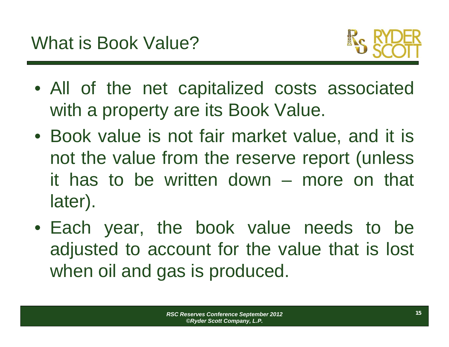

- All of the net capitalized costs associated with <sup>a</sup> property are its Book Value.
- Book value is not fair market value, and it is not the value from the reserve report (unless it has to be written down – more on that later).
- Each year, the book value needs to be adjusted to account for the value that is lost when oil and gas is produced.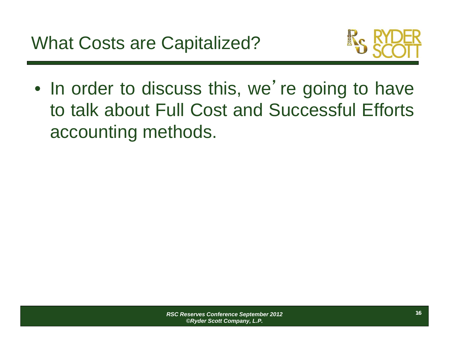

 $\bullet$ In order to discuss this, we're going to have to talk about Full Cost and Successful Efforts accounting methods.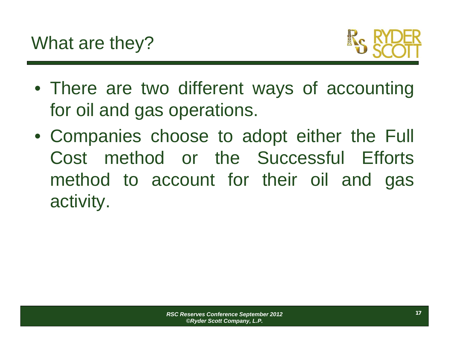

- There are two different ways of accounting for oil and gas operations.
- Companies choose to adopt either the Full Cost method or the Successful Efforts method to account for their oil and gas activity.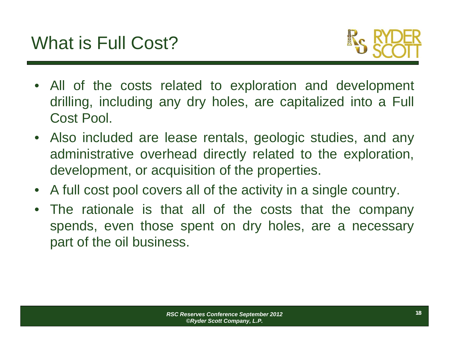

- All of the costs related to exploration and development drilling, including any dry holes, are capitalized into <sup>a</sup> Full Cost Pool.
- Also included are lease rentals, geologic studies, and any administrative overhead directly related to the exploration, development, or acquisition of the properties.
- $\bullet$ A full cost pool covers all of the activity in <sup>a</sup> single country.
- The rationale is that all of the costs that the company spends, even those spent on dry holes, are <sup>a</sup> necessary part of the oil business.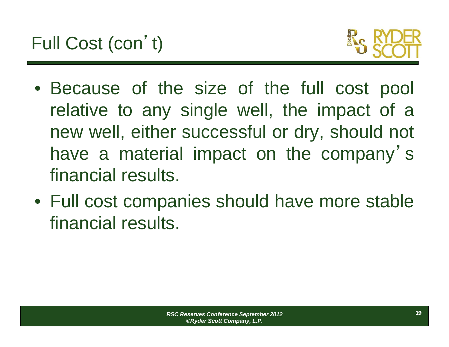

- Because of the size of the full cost pool relative to any single well, the impact of <sup>a</sup> new well, either successful or dry, should not have <sup>a</sup> material impact on the company'<sup>s</sup> financial results.
- Full cost companies should have more stable financial results.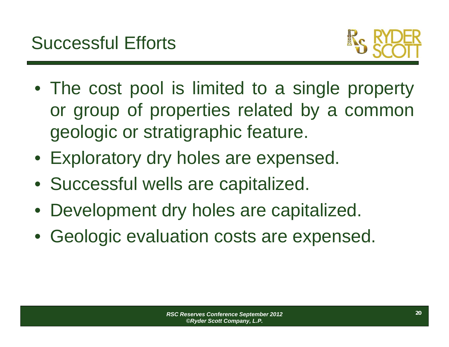

- The cost pool is limited to <sup>a</sup> single property or group of properties related by <sup>a</sup> common geologic or stratigraphic feature.
- Exploratory dry holes are expensed.
- Successful wells are capitalized.
- Development dry holes are capitalized.
- Geologic evaluation costs are expensed.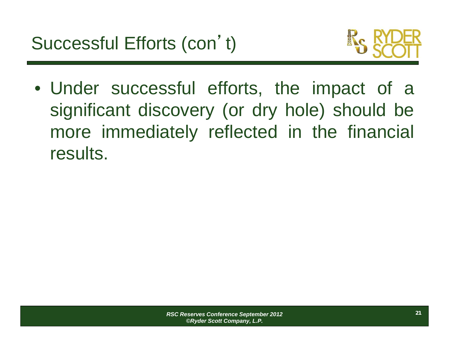

• Under successful efforts, the impact of <sup>a</sup> significant discovery (or dry hole) should be more immediately reflected in the financial results.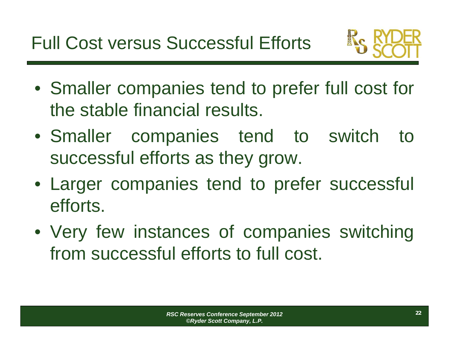Full Cost versus Successful Efforts



- Smaller companies tend to prefer full cost for the stable financial results.
- Smaller companies tend to switch to successful efforts as they grow.
- Larger companies tend to prefer successful efforts.
- Very few instances of companies switching from successful efforts to full cost.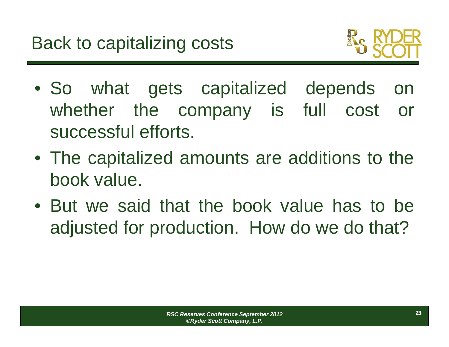

- So what gets capitalized depends on whether the company is full cost or successful efforts.
- The capitalized amounts are additions to the book value.
- But we said that the book value has to beadjusted for production. How do we do that?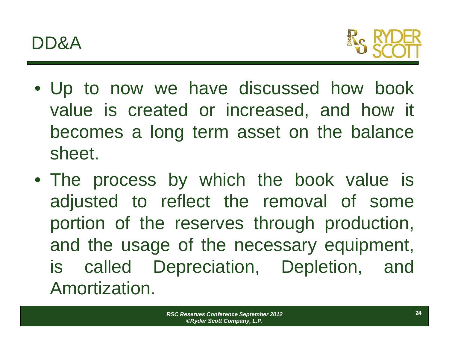

- Up to now we have discussed how book value is created or increased, and how it becomes <sup>a</sup> long term asset on the balance sheet.
- The process by which the book value is adjusted to reflect the removal of some portion of the reserves through production, and the usage of the necessary equipment, is called Depreciation, Depletion, and Amortization.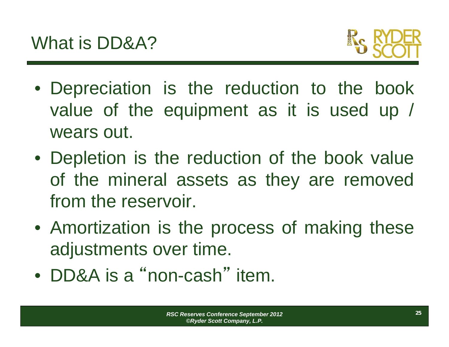

- Depreciation is the reduction to the book value of the equipment as it is used up / wears out.
- Depletion is the reduction of the book value of the mineral assets as they are removed from the reservoir.
- Amortization is the process of making these adjustments over time.
- DD&A is a "non-cash" item.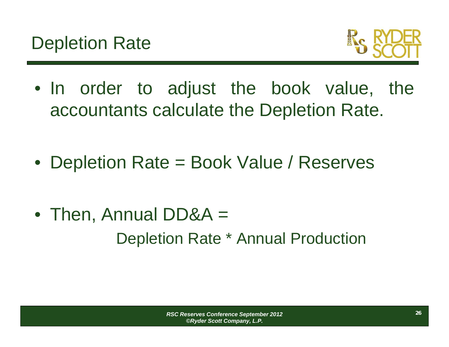

- In order to adjust the book value, the accountants calculate the Depletion Rate.
- Depletion Rate <sup>=</sup> Book Value / Reserves
- Then, Annual DD&A <sup>=</sup> Depletion Rate \* Annual Production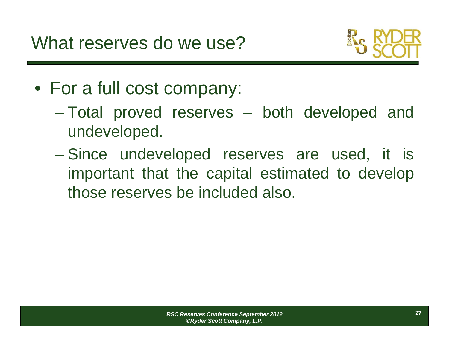

- For <sup>a</sup> full cost company:
	- Total proved reserves both developed and undeveloped.
	- $\mathcal{L}_{\mathcal{A}}$  , the state of the state of the state  $\mathcal{L}_{\mathcal{A}}$  Since undeveloped reserves are used, it is important that the capital estimated to develop those reserves be included also.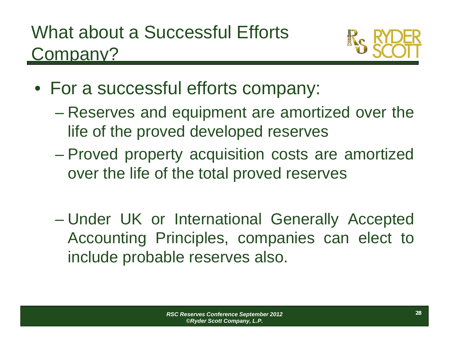

- For <sup>a</sup> successful efforts company:
	- Reserves and equipment are amortized over the life of the proved developed reserves
	- $\mathcal{L}_{\mathcal{A}}$  , the state of the state of the state  $\mathcal{L}_{\mathcal{A}}$  Proved property acquisition costs are amortized over the life of the total proved reserves
	- – Under UK or International Generally Accepted Accounting Principles, companies can elect to include probable reserves also.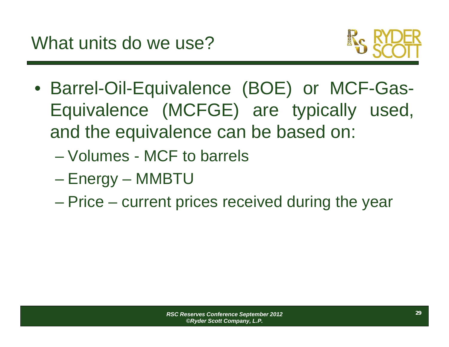

- Barrel-Oil-Equivalence (BOE) or MCF-Gas-Equivalence (MCFGE) are typically used, and the equivalence can be based on:
	- Volumes MCF to barrels
	- Energy MMBTU
	- Price current prices received during the year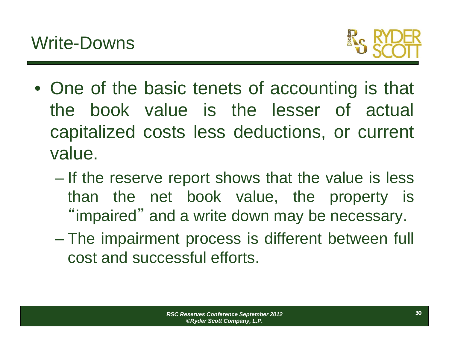

- One of the basic tenets of accounting is that the book value is the lesser of actual capitalized costs less deductions, or current value.
	- $\mathcal{L}_{\mathcal{A}}$  , the state of the state of the state  $\mathcal{L}_{\mathcal{A}}$  If the reserve report shows that the value is less than the net book value, the property is "impaired" and <sup>a</sup> write down may be necessary.
	- The impairment process is different between full cost and successful efforts.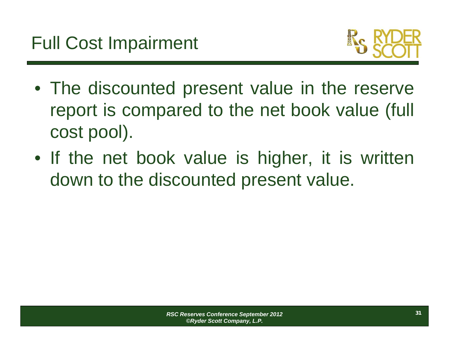

- The discounted present value in the reserve report is compared to the net book value (full cost pool).
- If the net book value is higher, it is written down to the discounted present value.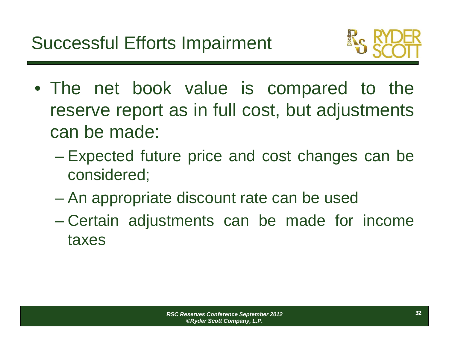

- The net book value is compared to the reserve report as in full cost, but adjustments can be made:
	- – Expected future price and cost changes can be considered;
	- An appropriate discount rate can be used
	- $\mathcal{L}_{\mathcal{A}}$  Certain adjustments can be made for income taxes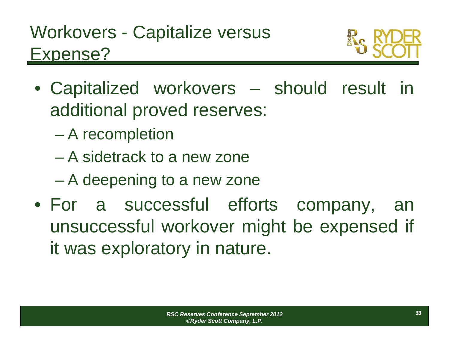

- Capitalized workovers should result in additional proved reserves:
	- $\mathcal{L}_{\mathcal{A}}$ A recompletion
	- A sidetrack to a new zone
	- $\mathcal{L}_{\mathcal{A}}$ A deepening to <sup>a</sup> new zone
- For <sup>a</sup> successful efforts company, an unsuccessful workover might be expensed if it was exploratory in nature.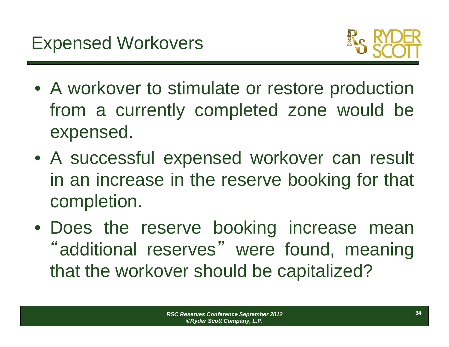

- A workover to stimulate or restore production from <sup>a</sup> currently completed zone would be expensed.
- A successful expensed workover can result in an increase in the reserve booking for that completion.
- Does the reserve booking increase mean "additional reserves " were found, meaning that the workover should be capitalized?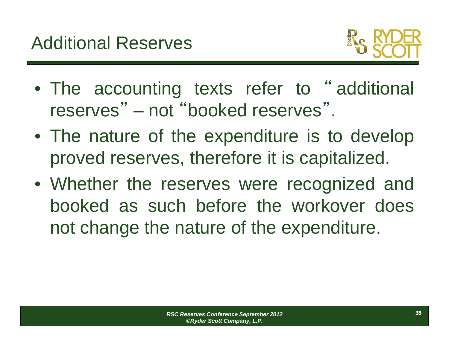

- The accounting texts refer to " additional reserves" – not "booked reserves".
- The nature of the expenditure is to develop proved reserves, therefore it is capitalized.
- Whether the reserves were recognized and booked as such before the workover doesnot change the nature of the expenditure.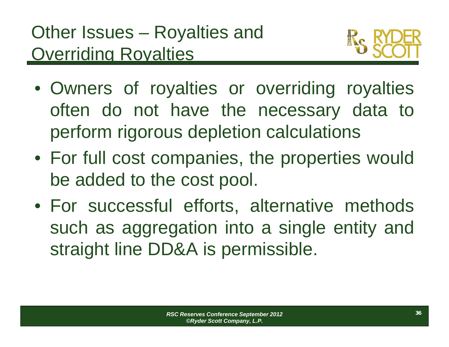

- Owners of royalties or overriding royalties often do not have the necessary data to perform rigorous depletion calculations
- For full cost companies, the properties would be added to the cost pool.
- For successful efforts, alternative methods such as aggregation into <sup>a</sup> single entity and straight line DD&A is permissible.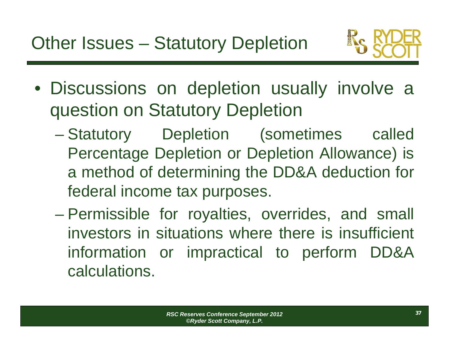

- Discussions on depletion usually involve <sup>a</sup> question on Statutory Depletion
	- $\mathcal{L}_{\mathcal{A}}$ Statutory Depletion (sometimes called Percentage Depletion or Depletion Allowance) is <sup>a</sup> method of determining the DD&A deduction for federal income tax purposes.
	- – Permissible for royalties, overrides, and small investors in situations where there is insufficient information or impractical to perform DD&A calculations.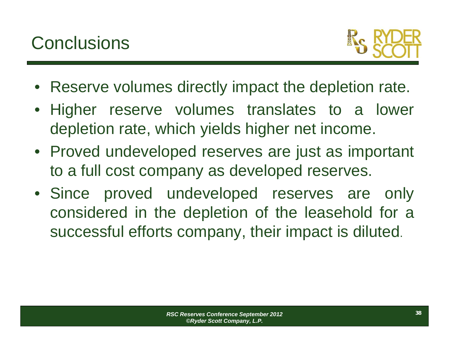

- Reserve volumes directly impact the depletion rate.
- Higher reserve volumes translates to <sup>a</sup> lower depletion rate, which yields higher net income.
- Proved undeveloped reserves are just as important to <sup>a</sup> full cost company as developed reserves.
- Since proved undeveloped reserves are only considered in the depletion of the leasehold for <sup>a</sup> successful efforts company, their impact is diluted.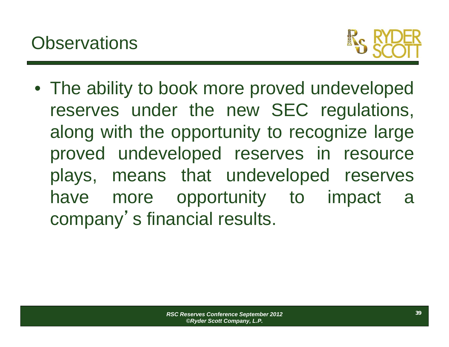

• The ability to book more proved undeveloped reserves under the new SEC regulations, along with the opportunity to recognize large proved undeveloped reserves in resource plays, means that undeveloped reserves have more opportunity to impact <sup>a</sup> company 's financial results.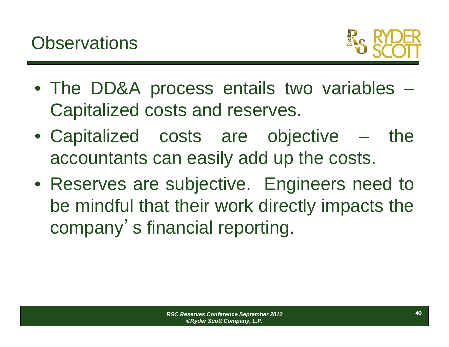

- The DD&A process entails two variables Capitalized costs and reserves.
- Capitalized costs are objective the accountants can easily add up the costs.
- Reserves are subjective. Engineers need to be mindful that their work directly impacts the company '<sup>s</sup> financial reporting.